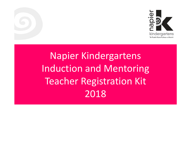

### Napier Kindergartens Induction and Mentoring Teacher Registration Kit 2018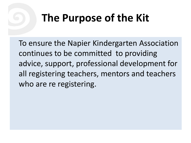# **The Purpose of the Kit**

To ensure the Napier Kindergarten Association continues to be committed to providing advice, support, professional development for all registering teachers, mentors and teachers who are re registering.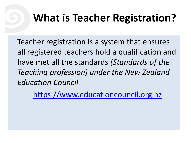## **What is Teacher Registration?**

Teacher registration is a system that ensures all registered teachers hold a qualification and have met all the standards *(Standards of the Teaching profession) under the New Zealand Education Council*

[https://www.educationcouncil.org.nz](https://www.educationcouncil.org.nz/)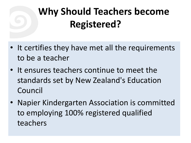### **Why Should Teachers become Registered?**

- It certifies they have met all the requirements to be a teacher
- It ensures teachers continue to meet the standards set by New Zealand's Education Council
- Napier Kindergarten Association is committed to employing 100% registered qualified teachers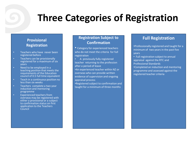### **Three Categories of Registration**

#### **Provisional Registration**

- Teachers who have never been registered before
- Teachers can be provisionally registered for a maximum of six years
- Need to be employed in a teaching position that meets the requirements of the Education council of 0.5 full time equivalent
- Teach in a continuous position no less than six weeks
- Teachers complete a two year induction and mentoring programme
- Experienced teachers from overseas may be registered with either a provisional or a subject to confirmation status on first application to the Teachers Council

#### **Registration Subject to Confirmation**

- Category for experienced teachers who do not meet the criteria for full registration
- A previously fully registered teacher returning to the profession after a period of leave
- •An experienced teacher within NZ or overseas who can provide written evidence of supervision and ongoing appraisal process
- •Registered subject to confirmation and taught for a minimum of three months

#### **Full Registration**

•Professionally registered and taught for a minimum of two years in the past five years

- Full registration subject to annual appraisal against the RTC and Professional Standards
- •Completed an induction and mentoring programme and assessed against the registered teacher criteria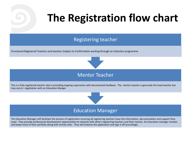# **The Registration flow chart**

#### Registering teacher

Provisional Registered Teachers and teachers Subject to Confirmation working through an induction programme



#### Mentor Teacher

This is a fully registered teacher who is providing ongoing supervision with documented feedback. The mentor teacher is generally the head teacher but may vary in negotiation with an Education Manger



The Education Manager will facilitate the process of registration ensuring all registering teachers have the information, documentation and support they need. They provide professional development opportunities to network with others registering teachers and their mentor. An Education manager reviews and keeps track of their portfolio along with termly visits. They will endorse the application and sign it off accordingly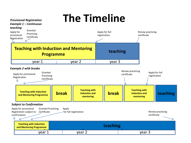### **The Timeline**

*Provisional Registration*

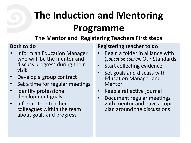# **The Induction and Mentoring Programme**

### **The Mentor and Registering Teachers First steps**

#### **Both to do**

- Inform an Education Manager who will be the mentor and discuss progress during their visit
- Develop a group contract
- Set a time for regular meetings
- Identify professional development goals
- Inform other teacher colleagues within the team about goals and progress

### **Registering teacher to do**

- Begin a folder in alliance with (*Education council)* Our Standards
- Start collecting evidence
- Set goals and discuss with Education Manager and Mentor
- Keep a reflective journal
- Document regular meetings with mentor and have a topic plan around the discussions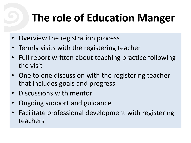# **The role of Education Manger**

- Overview the registration process
- Termly visits with the registering teacher
- Full report written about teaching practice following the visit
- One to one discussion with the registering teacher that includes goals and progress
- Discussions with mentor
- Ongoing support and guidance
- Facilitate professional development with registering teachers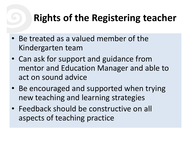### **Rights of the Registering teacher**

- Be treated as a valued member of the Kindergarten team
- Can ask for support and guidance from mentor and Education Manager and able to act on sound advice
- Be encouraged and supported when trying new teaching and learning strategies
- Feedback should be constructive on all aspects of teaching practice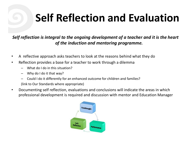# **Self Reflection and Evaluation**

*Self reflection is integral to the ongoing development of a teacher and it is the heart of the induction and mentoring programme.*

- A reflective approach asks teachers to look at the reasons behind what they do
- Reflection provides a base for a teacher to work through a dilemma
	- What do I do in this situation?
	- Why do I do it that way?
	- Could I do it differently for an enhanced outcome for children and families?

(link to Our Standards where appropriate)

• Documenting self reflection, evaluations and conclusions will indicate the areas in which professional development is required and discussion with mentor and Education Manager

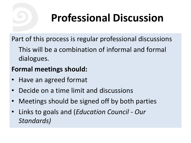# **Professional Discussion**

Part of this process is regular professional discussions

This will be a combination of informal and formal dialogues.

### **Formal meetings should:**

- Have an agreed format
- Decide on a time limit and discussions
- Meetings should be signed off by both parties
- Links to goals and (*Education Council Our Standards)*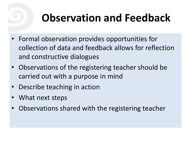# **Observation and Feedback**

- Formal observation provides opportunities for collection of data and feedback allows for reflection and constructive dialogues
- Observations of the registering teacher should be carried out with a purpose in mind
- Describe teaching in action
- What next steps
- Observations shared with the registering teacher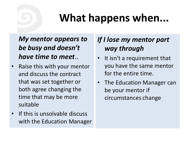## **What happens when...**

*My mentor appears to be busy and doesn't have time to meet*..

- Raise this with your mentor and discuss the contract that was set together or both agree changing the time that may be more suitable
- If this is unsolvable discuss with the Education Manager

### *If I lose my mentor part way through*

- It isn't a requirement that you have the same mentor for the entire time.
- The Education Manager can be your mentor if circumstances change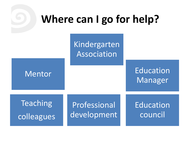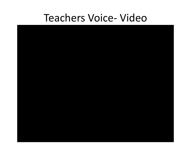### Teachers Voice- Video